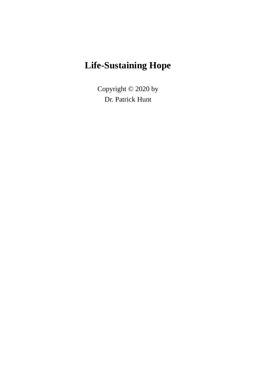## **Life-Sustaining Hope**

Copyright © 2020 by Dr. Patrick Hunt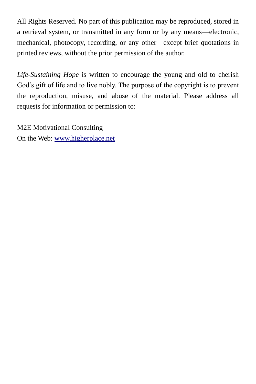All Rights Reserved. No part of this publication may be reproduced, stored in a retrieval system, or transmitted in any form or by any means—electronic, mechanical, photocopy, recording, or any other—except brief quotations in printed reviews, without the prior permission of the author.

*Life-Sustaining Hope* is written to encourage the young and old to cherish God's gift of life and to live nobly. The purpose of the copyright is to prevent the reproduction, misuse, and abuse of the material. Please address all requests for information or permission to:

M2E Motivational Consulting On the Web: [www.higherplace.net](http://www.higherplace.net/)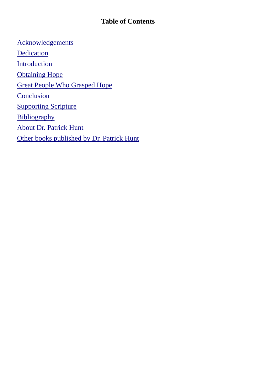#### **Table of Contents**

[Acknowledgements](#page-3-0) **[Dedication](#page-4-0) [Introduction](#page-5-0) [Obtaining Hope](#page-6-0)** [Great People Who Grasped Hope](#page-7-0) **[Conclusion](#page-11-0) [Supporting Scripture](#page-12-0) [Bibliography](#page-13-0)** [About Dr. Patrick Hunt](#page-14-0) [Other books published by Dr. Patrick Hunt](#page-16-0)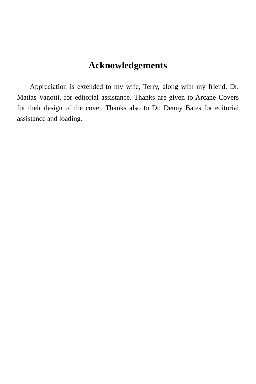## **Acknowledgements**

<span id="page-3-0"></span>Appreciation is extended to my wife, Terry, along with my friend, Dr. Matias Vanotti, for editorial assistance. Thanks are given to Arcane Covers for their design of the cover. Thanks also to Dr. Denny Bates for editorial assistance and loading.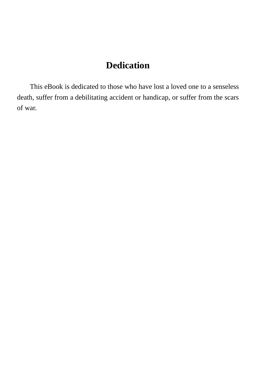#### **Dedication**

<span id="page-4-0"></span>This eBook is dedicated to those who have lost a loved one to a senseless death, suffer from a debilitating accident or handicap, or suffer from the scars of war.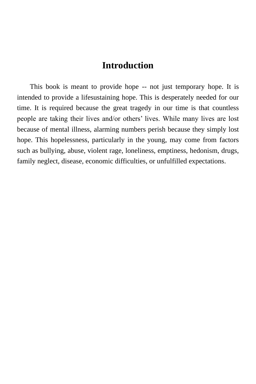#### **Introduction**

<span id="page-5-0"></span>This book is meant to provide hope -- not just temporary hope. It is intended to provide a lifesustaining hope. This is desperately needed for our time. It is required because the great tragedy in our time is that countless people are taking their lives and/or others' lives. While many lives are lost because of mental illness, alarming numbers perish because they simply lost hope. This hopelessness, particularly in the young, may come from factors such as bullying, abuse, violent rage, loneliness, emptiness, hedonism, drugs, family neglect, disease, economic difficulties, or unfulfilled expectations.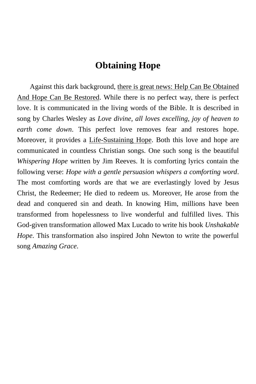#### **Obtaining Hope**

<span id="page-6-0"></span>Against this dark background, there is great news: Help Can Be Obtained And Hope Can Be Restored. While there is no perfect way, there is perfect love. It is communicated in the living words of the Bible. It is described in song by Charles Wesley as *Love divine, all loves excelling, joy of heaven to earth come down*. This perfect love removes fear and restores hope. Moreover, it provides a Life-Sustaining Hope. Both this love and hope are communicated in countless Christian songs. One such song is the beautiful *Whispering Hope* written by Jim Reeves. It is comforting lyrics contain the following verse: *Hope with a gentle persuasion whispers a comforting word*. The most comforting words are that we are everlastingly loved by Jesus Christ, the Redeemer; He died to redeem us. Moreover, He arose from the dead and conquered sin and death. In knowing Him, millions have been transformed from hopelessness to live wonderful and fulfilled lives. This God-given transformation allowed Max Lucado to write his book *Unshakable Hope*. This transformation also inspired John Newton to write the powerful song *Amazing Grace*.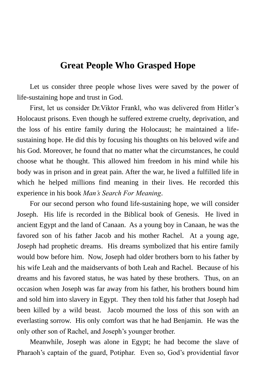#### <span id="page-7-0"></span>**Great People Who Grasped Hope**

Let us consider three people whose lives were saved by the power of life-sustaining hope and trust in God.

First, let us consider Dr.Viktor Frankl, who was delivered from Hitler's Holocaust prisons. Even though he suffered extreme cruelty, deprivation, and the loss of his entire family during the Holocaust; he maintained a lifesustaining hope. He did this by focusing his thoughts on his beloved wife and his God. Moreover, he found that no matter what the circumstances, he could choose what he thought. This allowed him freedom in his mind while his body was in prison and in great pain. After the war, he lived a fulfilled life in which he helped millions find meaning in their lives. He recorded this experience in his book *Man's Search For Meaning*.

For our second person who found life-sustaining hope, we will consider Joseph. His life is recorded in the Biblical book of Genesis. He lived in ancient Egypt and the land of Canaan. As a young boy in Canaan, he was the favored son of his father Jacob and his mother Rachel. At a young age, Joseph had prophetic dreams. His dreams symbolized that his entire family would bow before him. Now, Joseph had older brothers born to his father by his wife Leah and the maidservants of both Leah and Rachel. Because of his dreams and his favored status, he was hated by these brothers. Thus, on an occasion when Joseph was far away from his father, his brothers bound him and sold him into slavery in Egypt. They then told his father that Joseph had been killed by a wild beast. Jacob mourned the loss of this son with an everlasting sorrow. His only comfort was that he had Benjamin. He was the only other son of Rachel, and Joseph's younger brother.

Meanwhile, Joseph was alone in Egypt; he had become the slave of Pharaoh's captain of the guard, Potiphar. Even so, God's providential favor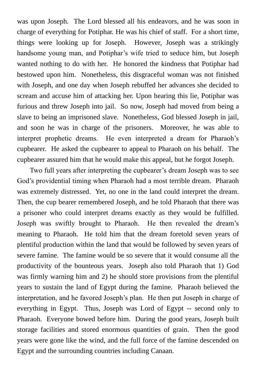was upon Joseph. The Lord blessed all his endeavors, and he was soon in charge of everything for Potiphar. He was his chief of staff. For a short time, things were looking up for Joseph. However, Joseph was a strikingly handsome young man, and Potiphar's wife tried to seduce him, but Joseph wanted nothing to do with her. He honored the kindness that Potiphar had bestowed upon him. Nonetheless, this disgraceful woman was not finished with Joseph, and one day when Joseph rebuffed her advances she decided to scream and accuse him of attacking her. Upon hearing this lie, Potiphar was furious and threw Joseph into jail. So now, Joseph had moved from being a slave to being an imprisoned slave. Nonetheless, God blessed Joseph in jail, and soon he was in charge of the prisoners. Moreover, he was able to interpret prophetic dreams. He even interpreted a dream for Pharaoh's cupbearer. He asked the cupbearer to appeal to Pharaoh on his behalf. The cupbearer assured him that he would make this appeal, but he forgot Joseph.

Two full years after interpreting the cupbearer's dream Joseph was to see God's providential timing when Pharaoh had a most terrible dream. Pharaoh was extremely distressed. Yet, no one in the land could interpret the dream. Then, the cup bearer remembered Joseph, and he told Pharaoh that there was a prisoner who could interpret dreams exactly as they would be fulfilled. Joseph was swiftly brought to Pharaoh. He then revealed the dream's meaning to Pharaoh. He told him that the dream foretold seven years of plentiful production within the land that would be followed by seven years of severe famine. The famine would be so severe that it would consume all the productivity of the bounteous years. Joseph also told Pharaoh that 1) God was firmly warning him and 2) he should store provisions from the plentiful years to sustain the land of Egypt during the famine. Pharaoh believed the interpretation, and he favored Joseph's plan. He then put Joseph in charge of everything in Egypt. Thus, Joseph was Lord of Egypt -- second only to Pharaoh. Everyone bowed before him. During the good years, Joseph built storage facilities and stored enormous quantities of grain. Then the good years were gone like the wind, and the full force of the famine descended on Egypt and the surrounding countries including Canaan.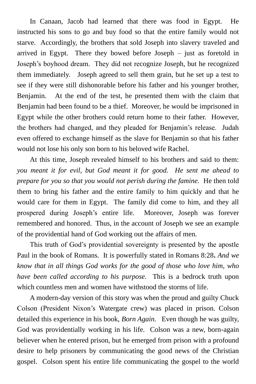In Canaan, Jacob had learned that there was food in Egypt. He instructed his sons to go and buy food so that the entire family would not starve. Accordingly, the brothers that sold Joseph into slavery traveled and arrived in Egypt. There they bowed before Joseph – just as foretold in Joseph's boyhood dream. They did not recognize Joseph, but he recognized them immediately. Joseph agreed to sell them grain, but he set up a test to see if they were still dishonorable before his father and his younger brother, Benjamin. At the end of the test, he presented them with the claim that Benjamin had been found to be a thief. Moreover, he would be imprisoned in Egypt while the other brothers could return home to their father. However, the brothers had changed, and they pleaded for Benjamin's release. Judah even offered to exchange himself as the slave for Benjamin so that his father would not lose his only son born to his beloved wife Rachel.

At this time, Joseph revealed himself to his brothers and said to them: *you meant it for evil, but God meant it for good. He sent me ahead to prepare for you so that you would not perish during the famine.* He then told them to bring his father and the entire family to him quickly and that he would care for them in Egypt. The family did come to him, and they all prospered during Joseph's entire life. Moreover, Joseph was forever remembered and honored. Thus, in the account of Joseph we see an example of the providential hand of God working out the affairs of men.

This truth of God's providential sovereignty is presented by the apostle Paul in the book of Romans. It is powerfully stated in Romans 8:28**.** *And we know that in all things God works for the good of those who love him, who have been called according to his purpose.* This is a bedrock truth upon which countless men and women have withstood the storms of life.

A modern-day version of this story was when the proud and guilty Chuck Colson (President Nixon's Watergate crew) was placed in prison. Colson detailed this experience in his book, *Born Again*. Even though he was guilty, God was providentially working in his life. Colson was a new, born-again believer when he entered prison, but he emerged from prison with a profound desire to help prisoners by communicating the good news of the Christian gospel. Colson spent his entire life communicating the gospel to the world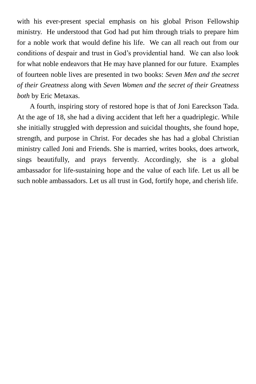with his ever-present special emphasis on his global Prison Fellowship ministry. He understood that God had put him through trials to prepare him for a noble work that would define his life. We can all reach out from our conditions of despair and trust in God's providential hand. We can also look for what noble endeavors that He may have planned for our future. Examples of fourteen noble lives are presented in two books: *Seven Men and the secret of their Greatness* along with *Seven Women and the secret of their Greatness both* by Eric Metaxas.

A fourth, inspiring story of restored hope is that of Joni Eareckson Tada. At the age of 18, she had a diving accident that left her a quadriplegic. While she initially struggled with depression and suicidal thoughts, she found hope, strength, and purpose in Christ. For decades she has had a global Christian ministry called Joni and Friends. She is married, writes books, does artwork, sings beautifully, and prays fervently. Accordingly, she is a global ambassador for life-sustaining hope and the value of each life. Let us all be such noble ambassadors. Let us all trust in God, fortify hope, and cherish life.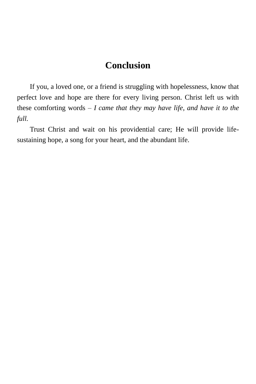#### **Conclusion**

<span id="page-11-0"></span>If you, a loved one, or a friend is struggling with hopelessness, know that perfect love and hope are there for every living person. Christ left us with these comforting words – *I came that they may have life, and have it to the full.*

Trust Christ and wait on his providential care; He will provide lifesustaining hope, a song for your heart, and the abundant life.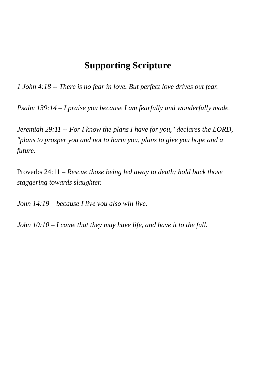#### **Supporting Scripture**

<span id="page-12-0"></span>*1 John 4:18 -- There is no fear in love. But perfect love drives out fear.*

*Psalm 139:14 – I praise you because I am fearfully and wonderfully made.*

*Jeremiah 29:11 -- For I know the plans I have for you," declares the LORD, "plans to prosper you and not to harm you, plans to give you hope and a future.*

Proverbs 24:11 – *Rescue those being led away to death; hold back those staggering towards slaughter.*

*John 14:19 – because I live you also will live.*

*John 10:10 – I came that they may have life, and have it to the full.*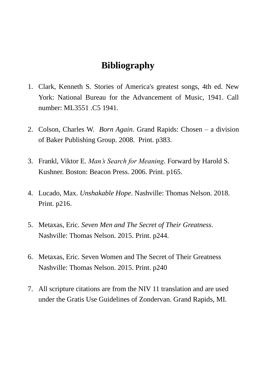#### **Bibliography**

- <span id="page-13-0"></span>1. Clark, Kenneth S. Stories of America's greatest songs, 4th ed. New York: National Bureau for the Advancement of Music, 1941. Call number: ML3551 .C5 1941.
- 2. Colson, Charles W. *Born Again*. Grand Rapids: Chosen a division of Baker Publishing Group. 2008. Print. p383.
- 3. Frankl, Viktor E. *Man's Search for Meaning*. Forward by Harold S. Kushner. Boston: Beacon Press. 2006. Print. p165.
- 4. Lucado, Max. *Unshakable Hope*. Nashville: Thomas Nelson. 2018. Print. p216.
- 5. Metaxas, Eric. *Seven Men and The Secret of Their Greatness*. Nashville: Thomas Nelson. 2015. Print. p244.
- 6. Metaxas, Eric. Seven Women and The Secret of Their Greatness Nashville: Thomas Nelson. 2015. Print. p240
- 7. All scripture citations are from the NIV 11 translation and are used under the Gratis Use Guidelines of Zondervan. Grand Rapids, MI.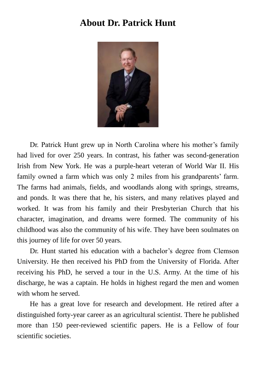#### <span id="page-14-0"></span>**About Dr. Patrick Hunt**



Dr. Patrick Hunt grew up in North Carolina where his mother's family had lived for over 250 years. In contrast, his father was second-generation Irish from New York. He was a purple-heart veteran of World War II. His family owned a farm which was only 2 miles from his grandparents' farm. The farms had animals, fields, and woodlands along with springs, streams, and ponds. It was there that he, his sisters, and many relatives played and worked. It was from his family and their Presbyterian Church that his character, imagination, and dreams were formed. The community of his childhood was also the community of his wife. They have been soulmates on this journey of life for over 50 years.

Dr. Hunt started his education with a bachelor's degree from Clemson University. He then received his PhD from the University of Florida. After receiving his PhD, he served a tour in the U.S. Army. At the time of his discharge, he was a captain. He holds in highest regard the men and women with whom he served.

He has a great love for research and development. He retired after a distinguished forty-year career as an agricultural scientist. There he published more than 150 peer-reviewed scientific papers. He is a Fellow of four scientific societies.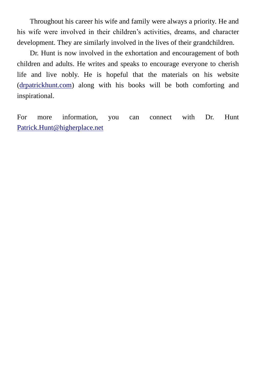Throughout his career his wife and family were always a priority. He and his wife were involved in their children's activities, dreams, and character development. They are similarly involved in the lives of their grandchildren.

Dr. Hunt is now involved in the exhortation and encouragement of both children and adults. He writes and speaks to encourage everyone to cherish life and live nobly. He is hopeful that the materials on his website [\(drpatrickhunt.com\)](http://drpatrickhunt.com/) along with his books will be both comforting and inspirational.

For more information, you can connect with Dr. Hunt [Patrick.Hunt@higherplace.net](mailto:Patrick.Hunt@higherplace.net)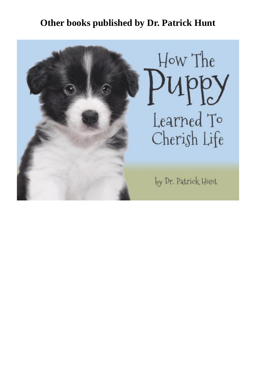## **Other books published by Dr. Patrick Hunt**

<span id="page-16-0"></span>